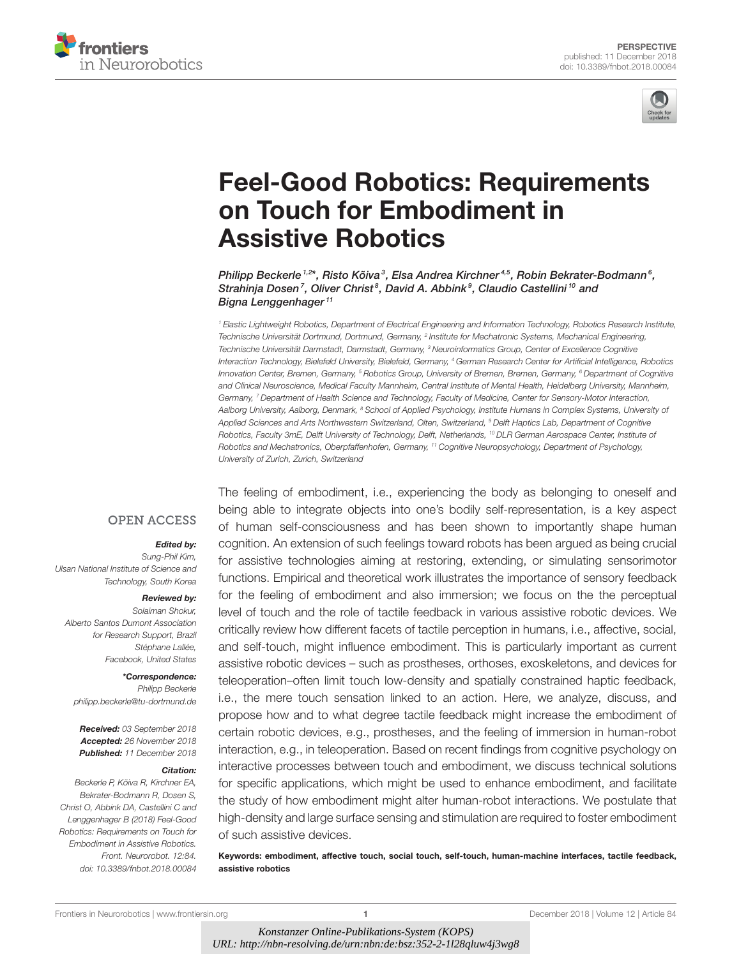



# [Feel-Good Robotics: Requirements](https://www.frontiersin.org/articles/10.3389/fnbot.2018.00084/full) on Touch for Embodiment in Assistive Robotics

[Philipp Beckerle](http://loop.frontiersin.org/people/406178/overview) 1,2\*, Risto Kõiva<sup>3</sup>, [Elsa Andrea Kirchner](http://loop.frontiersin.org/people/128000/overview)<sup>4,5</sup>, [Robin Bekrater-Bodmann](http://loop.frontiersin.org/people/85333/overview)<sup>6</sup>, [Strahinja Dosen](http://loop.frontiersin.org/people/144563/overview)<sup>7</sup>, [Oliver Christ](http://loop.frontiersin.org/people/47923/overview)<sup>8</sup>, David A. Abbink<sup>9</sup>, [Claudio Castellini](http://loop.frontiersin.org/people/67697/overview)<sup>10</sup> and [Bigna Lenggenhager](http://loop.frontiersin.org/people/86921/overview)<sup>11</sup>

<sup>1</sup> Elastic Lightweight Robotics, Department of Electrical Engineering and Information Technology, Robotics Research Institute, Technische Universität Dortmund, Dortmund, Germany, <sup>2</sup> Institute for Mechatronic Systems, Mechanical Engineering, Technische Universität Darmstadt, Darmstadt, Germany, <sup>3</sup> Neuroinformatics Group, Center of Excellence Cognitive Interaction Technology, Bielefeld University, Bielefeld, Germany, <sup>4</sup> German Research Center for Artificial Intelligence. Robotics Innovation Center, Bremen, Germany, <sup>5</sup> Robotics Group, University of Bremen, Bremen, Germany, <sup>6</sup> Department of Cognitive and Clinical Neuroscience, Medical Faculty Mannheim, Central Institute of Mental Health, Heidelberg University, Mannheim, Germany, <sup>7</sup> Department of Health Science and Technology, Faculty of Medicine, Center for Sensory-Motor Interaction, Aalborg University, Aalborg, Denmark, <sup>8</sup> School of Applied Psychology, Institute Humans in Complex Systems, University of Applied Sciences and Arts Northwestern Switzerland, Olten, Switzerland, <sup>9</sup> Delft Haptics Lab, Department of Cognitive Robotics, Faculty 3mE, Delft University of Technology, Delft, Netherlands, <sup>10</sup> DLR German Aerospace Center, Institute of Robotics and Mechatronics, Oberpfaffenhofen, Germany, <sup>11</sup> Cognitive Neuropsychology, Department of Psychology, University of Zurich, Zurich, Switzerland

#### **OPEN ACCESS**

#### Edited by:

Sung-Phil Kim, Ulsan National Institute of Science and Technology, South Korea

#### Reviewed by:

Solaiman Shokur, Alberto Santos Dumont Association for Research Support, Brazil Stéphane Lallée, Facebook, United States

> \*Correspondence: Philipp Beckerle

[philipp.beckerle@tu-dortmund.de](mailto:philipp.beckerle@tu-dortmund.de)

Received: 03 September 2018 Accepted: 26 November 2018 Published: 11 December 2018

#### Citation:

Beckerle P, Kõiva R, Kirchner EA, Bekrater-Bodmann R, Dosen S, Christ O, Abbink DA, Castellini C and Lenggenhager B (2018) Feel-Good Robotics: Requirements on Touch for Embodiment in Assistive Robotics. Front. Neurorobot. 12:84. doi: [10.3389/fnbot.2018.00084](https://doi.org/10.3389/fnbot.2018.00084) The feeling of embodiment, i.e., experiencing the body as belonging to oneself and being able to integrate objects into one's bodily self-representation, is a key aspect of human self-consciousness and has been shown to importantly shape human cognition. An extension of such feelings toward robots has been argued as being crucial for assistive technologies aiming at restoring, extending, or simulating sensorimotor functions. Empirical and theoretical work illustrates the importance of sensory feedback for the feeling of embodiment and also immersion; we focus on the the perceptual level of touch and the role of tactile feedback in various assistive robotic devices. We critically review how different facets of tactile perception in humans, i.e., affective, social, and self-touch, might influence embodiment. This is particularly important as current assistive robotic devices – such as prostheses, orthoses, exoskeletons, and devices for teleoperation–often limit touch low-density and spatially constrained haptic feedback, i.e., the mere touch sensation linked to an action. Here, we analyze, discuss, and propose how and to what degree tactile feedback might increase the embodiment of certain robotic devices, e.g., prostheses, and the feeling of immersion in human-robot interaction, e.g., in teleoperation. Based on recent findings from cognitive psychology on interactive processes between touch and embodiment, we discuss technical solutions for specific applications, which might be used to enhance embodiment, and facilitate the study of how embodiment might alter human-robot interactions. We postulate that high-density and large surface sensing and stimulation are required to foster embodiment of such assistive devices.

Keywords: embodiment, affective touch, social touch, self-touch, human-machine interfaces, tactile feedback, assistive robotics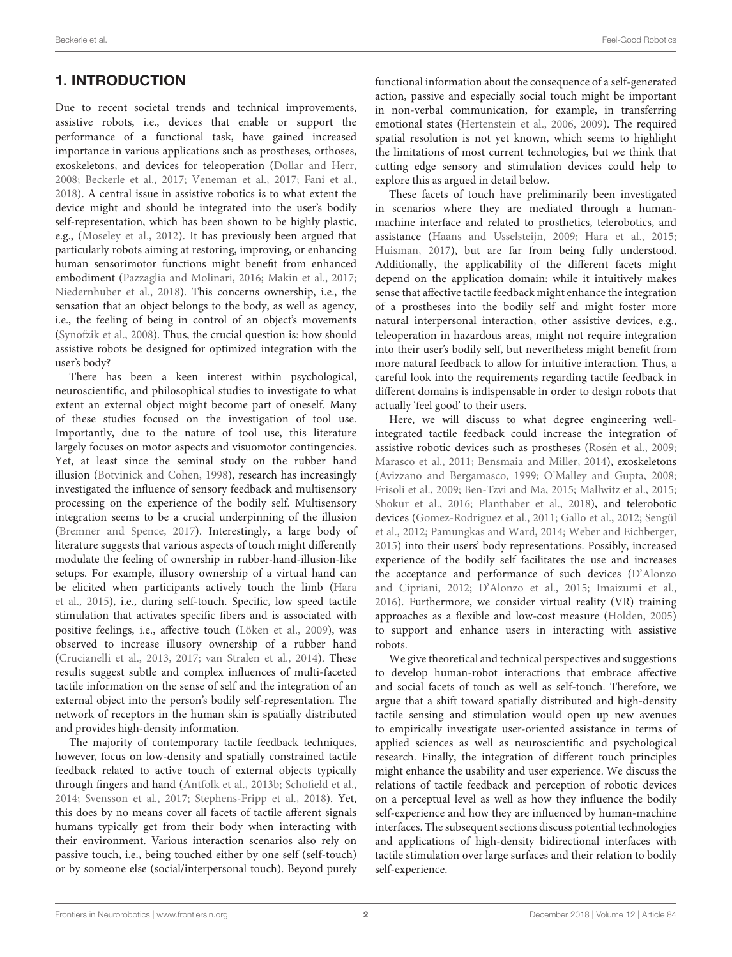## 1. INTRODUCTION

Due to recent societal trends and technical improvements, assistive robots, i.e., devices that enable or support the performance of a functional task, have gained increased importance in various applications such as prostheses, orthoses, exoskeletons, and devices for teleoperation [\(Dollar and Herr,](#page-5-0) [2008;](#page-5-0) [Beckerle et al., 2017;](#page-4-0) [Veneman et al., 2017;](#page-6-0) [Fani et al.,](#page-5-1) [2018\)](#page-5-1). A central issue in assistive robotics is to what extent the device might and should be integrated into the user's bodily self-representation, which has been shown to be highly plastic, e.g., [\(Moseley et al., 2012\)](#page-6-1). It has previously been argued that particularly robots aiming at restoring, improving, or enhancing human sensorimotor functions might benefit from enhanced embodiment [\(Pazzaglia and Molinari, 2016;](#page-6-2) [Makin et al., 2017;](#page-5-2) [Niedernhuber et al., 2018\)](#page-6-3). This concerns ownership, i.e., the sensation that an object belongs to the body, as well as agency, i.e., the feeling of being in control of an object's movements [\(Synofzik et al., 2008\)](#page-6-4). Thus, the crucial question is: how should assistive robots be designed for optimized integration with the user's body?

There has been a keen interest within psychological, neuroscientific, and philosophical studies to investigate to what extent an external object might become part of oneself. Many of these studies focused on the investigation of tool use. Importantly, due to the nature of tool use, this literature largely focuses on motor aspects and visuomotor contingencies. Yet, at least since the seminal study on the rubber hand illusion [\(Botvinick and Cohen, 1998\)](#page-4-1), research has increasingly investigated the influence of sensory feedback and multisensory processing on the experience of the bodily self. Multisensory integration seems to be a crucial underpinning of the illusion [\(Bremner and Spence, 2017\)](#page-5-3). Interestingly, a large body of literature suggests that various aspects of touch might differently modulate the feeling of ownership in rubber-hand-illusion-like setups. For example, illusory ownership of a virtual hand can be elicited when participants actively touch the limb (Hara et al., [2015\)](#page-5-4), i.e., during self-touch. Specific, low speed tactile stimulation that activates specific fibers and is associated with positive feelings, i.e., affective touch [\(Löken et al., 2009\)](#page-5-5), was observed to increase illusory ownership of a rubber hand [\(Crucianelli et al., 2013,](#page-5-6) [2017;](#page-5-7) [van Stralen et al., 2014\)](#page-6-5). These results suggest subtle and complex influences of multi-faceted tactile information on the sense of self and the integration of an external object into the person's bodily self-representation. The network of receptors in the human skin is spatially distributed and provides high-density information.

The majority of contemporary tactile feedback techniques, however, focus on low-density and spatially constrained tactile feedback related to active touch of external objects typically through fingers and hand [\(Antfolk et al., 2013b;](#page-4-2) [Schofield et al.,](#page-6-6) [2014;](#page-6-6) [Svensson et al., 2017;](#page-6-7) [Stephens-Fripp et al., 2018\)](#page-6-8). Yet, this does by no means cover all facets of tactile afferent signals humans typically get from their body when interacting with their environment. Various interaction scenarios also rely on passive touch, i.e., being touched either by one self (self-touch) or by someone else (social/interpersonal touch). Beyond purely functional information about the consequence of a self-generated action, passive and especially social touch might be important in non-verbal communication, for example, in transferring emotional states [\(Hertenstein et al., 2006,](#page-5-8) [2009\)](#page-5-9). The required spatial resolution is not yet known, which seems to highlight the limitations of most current technologies, but we think that cutting edge sensory and stimulation devices could help to explore this as argued in detail below.

These facets of touch have preliminarily been investigated in scenarios where they are mediated through a humanmachine interface and related to prosthetics, telerobotics, and assistance [\(Haans and Usselsteijn, 2009;](#page-5-10) [Hara et al., 2015;](#page-5-4) [Huisman, 2017\)](#page-5-11), but are far from being fully understood. Additionally, the applicability of the different facets might depend on the application domain: while it intuitively makes sense that affective tactile feedback might enhance the integration of a prostheses into the bodily self and might foster more natural interpersonal interaction, other assistive devices, e.g., teleoperation in hazardous areas, might not require integration into their user's bodily self, but nevertheless might benefit from more natural feedback to allow for intuitive interaction. Thus, a careful look into the requirements regarding tactile feedback in different domains is indispensable in order to design robots that actually 'feel good' to their users.

Here, we will discuss to what degree engineering wellintegrated tactile feedback could increase the integration of assistive robotic devices such as prostheses [\(Rosén et al., 2009;](#page-6-9) [Marasco et al., 2011;](#page-5-12) [Bensmaia and Miller, 2014\)](#page-4-3), exoskeletons [\(Avizzano and Bergamasco, 1999;](#page-4-4) [O'Malley and Gupta, 2008;](#page-6-10) [Frisoli et al., 2009;](#page-5-13) [Ben-Tzvi and Ma, 2015;](#page-4-5) [Mallwitz et al.,](#page-5-14) [2015;](#page-5-14) [Shokur et al., 2016;](#page-6-11) [Planthaber et al., 2018\)](#page-6-12), and telerobotic devices [\(Gomez-Rodriguez et al., 2011;](#page-5-15) [Gallo et al., 2012;](#page-5-16) Sengül et al., [2012;](#page-6-13) [Pamungkas and Ward, 2014;](#page-6-14) [Weber and Eichberger,](#page-6-15) [2015\)](#page-6-15) into their users' body representations. Possibly, increased experience of the bodily self facilitates the use and increases the acceptance and performance of such devices (D'Alonzo and Cipriani, [2012;](#page-5-17) [D'Alonzo et al., 2015;](#page-5-18) [Imaizumi et al.,](#page-5-19) [2016\)](#page-5-19). Furthermore, we consider virtual reality (VR) training approaches as a flexible and low-cost measure [\(Holden, 2005\)](#page-5-20) to support and enhance users in interacting with assistive robots.

We give theoretical and technical perspectives and suggestions to develop human-robot interactions that embrace affective and social facets of touch as well as self-touch. Therefore, we argue that a shift toward spatially distributed and high-density tactile sensing and stimulation would open up new avenues to empirically investigate user-oriented assistance in terms of applied sciences as well as neuroscientific and psychological research. Finally, the integration of different touch principles might enhance the usability and user experience. We discuss the relations of tactile feedback and perception of robotic devices on a perceptual level as well as how they influence the bodily self-experience and how they are influenced by human-machine interfaces. The subsequent sections discuss potential technologies and applications of high-density bidirectional interfaces with tactile stimulation over large surfaces and their relation to bodily self-experience.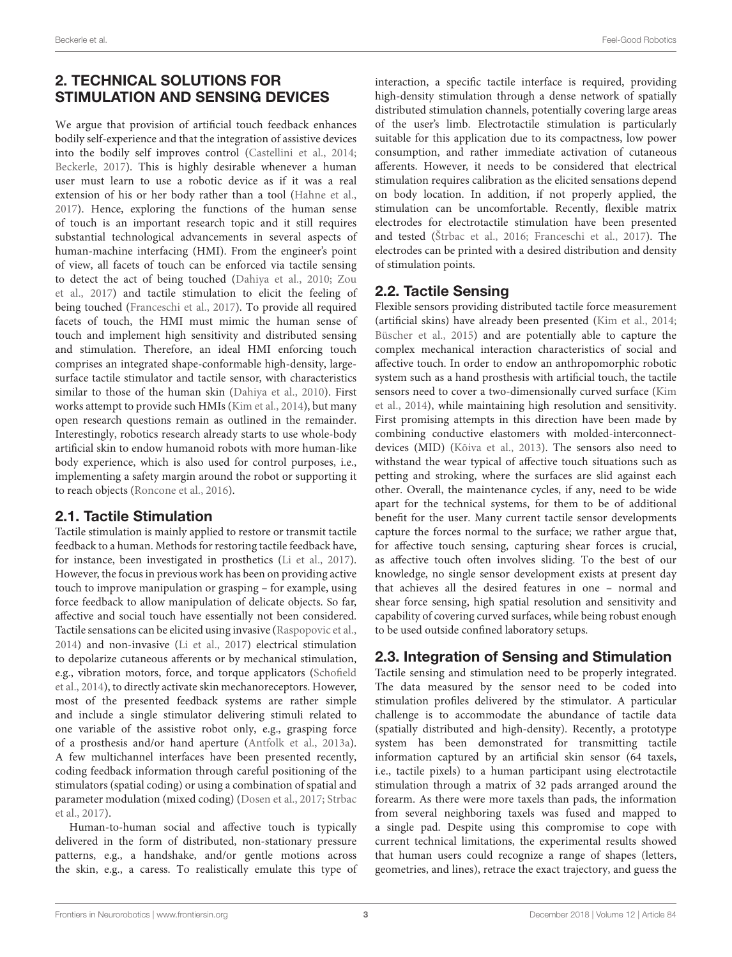### 2. TECHNICAL SOLUTIONS FOR STIMULATION AND SENSING DEVICES

We argue that provision of artificial touch feedback enhances bodily self-experience and that the integration of assistive devices into the bodily self improves control [\(Castellini et al., 2014;](#page-5-21) [Beckerle, 2017\)](#page-4-6). This is highly desirable whenever a human user must learn to use a robotic device as if it was a real extension of his or her body rather than a tool [\(Hahne et al.,](#page-5-22) [2017\)](#page-5-22). Hence, exploring the functions of the human sense of touch is an important research topic and it still requires substantial technological advancements in several aspects of human-machine interfacing (HMI). From the engineer's point of view, all facets of touch can be enforced via tactile sensing to detect the act of being touched [\(Dahiya et al., 2010;](#page-5-23) Zou et al., [2017\)](#page-6-16) and tactile stimulation to elicit the feeling of being touched [\(Franceschi et al., 2017\)](#page-5-24). To provide all required facets of touch, the HMI must mimic the human sense of touch and implement high sensitivity and distributed sensing and stimulation. Therefore, an ideal HMI enforcing touch comprises an integrated shape-conformable high-density, largesurface tactile stimulator and tactile sensor, with characteristics similar to those of the human skin [\(Dahiya et al., 2010\)](#page-5-23). First works attempt to provide such HMIs [\(Kim et al., 2014\)](#page-5-25), but many open research questions remain as outlined in the remainder. Interestingly, robotics research already starts to use whole-body artificial skin to endow humanoid robots with more human-like body experience, which is also used for control purposes, i.e., implementing a safety margin around the robot or supporting it to reach objects [\(Roncone et al., 2016\)](#page-6-17).

#### 2.1. Tactile Stimulation

Tactile stimulation is mainly applied to restore or transmit tactile feedback to a human. Methods for restoring tactile feedback have, for instance, been investigated in prosthetics [\(Li et al., 2017\)](#page-5-26). However, the focus in previous work has been on providing active touch to improve manipulation or grasping – for example, using force feedback to allow manipulation of delicate objects. So far, affective and social touch have essentially not been considered. Tactile sensations can be elicited using invasive [\(Raspopovic et al.,](#page-6-18) [2014\)](#page-6-18) and non-invasive [\(Li et al., 2017\)](#page-5-26) electrical stimulation to depolarize cutaneous afferents or by mechanical stimulation, e.g., vibration motors, force, and torque applicators (Schofield et al., [2014\)](#page-6-6), to directly activate skin mechanoreceptors. However, most of the presented feedback systems are rather simple and include a single stimulator delivering stimuli related to one variable of the assistive robot only, e.g., grasping force of a prosthesis and/or hand aperture [\(Antfolk et al., 2013a\)](#page-4-7). A few multichannel interfaces have been presented recently, coding feedback information through careful positioning of the stimulators (spatial coding) or using a combination of spatial and parameter modulation (mixed coding) [\(Dosen et al., 2017;](#page-5-27) Strbac et al., [2017\)](#page-6-19).

Human-to-human social and affective touch is typically delivered in the form of distributed, non-stationary pressure patterns, e.g., a handshake, and/or gentle motions across the skin, e.g., a caress. To realistically emulate this type of interaction, a specific tactile interface is required, providing high-density stimulation through a dense network of spatially distributed stimulation channels, potentially covering large areas of the user's limb. Electrotactile stimulation is particularly suitable for this application due to its compactness, low power consumption, and rather immediate activation of cutaneous afferents. However, it needs to be considered that electrical stimulation requires calibration as the elicited sensations depend on body location. In addition, if not properly applied, the stimulation can be uncomfortable. Recently, flexible matrix electrodes for electrotactile stimulation have been presented and tested [\(Štrbac et al., 2016;](#page-6-20) [Franceschi et al., 2017\)](#page-5-24). The electrodes can be printed with a desired distribution and density of stimulation points.

#### 2.2. Tactile Sensing

Flexible sensors providing distributed tactile force measurement (artificial skins) have already been presented [\(Kim et al., 2014;](#page-5-25) [Büscher et al., 2015\)](#page-5-28) and are potentially able to capture the complex mechanical interaction characteristics of social and affective touch. In order to endow an anthropomorphic robotic system such as a hand prosthesis with artificial touch, the tactile sensors need to cover a two-dimensionally curved surface (Kim et al., [2014\)](#page-5-25), while maintaining high resolution and sensitivity. First promising attempts in this direction have been made by combining conductive elastomers with molded-interconnectdevices (MID) [\(Kõiva et al., 2013\)](#page-5-29). The sensors also need to withstand the wear typical of affective touch situations such as petting and stroking, where the surfaces are slid against each other. Overall, the maintenance cycles, if any, need to be wide apart for the technical systems, for them to be of additional benefit for the user. Many current tactile sensor developments capture the forces normal to the surface; we rather argue that, for affective touch sensing, capturing shear forces is crucial, as affective touch often involves sliding. To the best of our knowledge, no single sensor development exists at present day that achieves all the desired features in one – normal and shear force sensing, high spatial resolution and sensitivity and capability of covering curved surfaces, while being robust enough to be used outside confined laboratory setups.

### 2.3. Integration of Sensing and Stimulation

Tactile sensing and stimulation need to be properly integrated. The data measured by the sensor need to be coded into stimulation profiles delivered by the stimulator. A particular challenge is to accommodate the abundance of tactile data (spatially distributed and high-density). Recently, a prototype system has been demonstrated for transmitting tactile information captured by an artificial skin sensor (64 taxels, i.e., tactile pixels) to a human participant using electrotactile stimulation through a matrix of 32 pads arranged around the forearm. As there were more taxels than pads, the information from several neighboring taxels was fused and mapped to a single pad. Despite using this compromise to cope with current technical limitations, the experimental results showed that human users could recognize a range of shapes (letters, geometries, and lines), retrace the exact trajectory, and guess the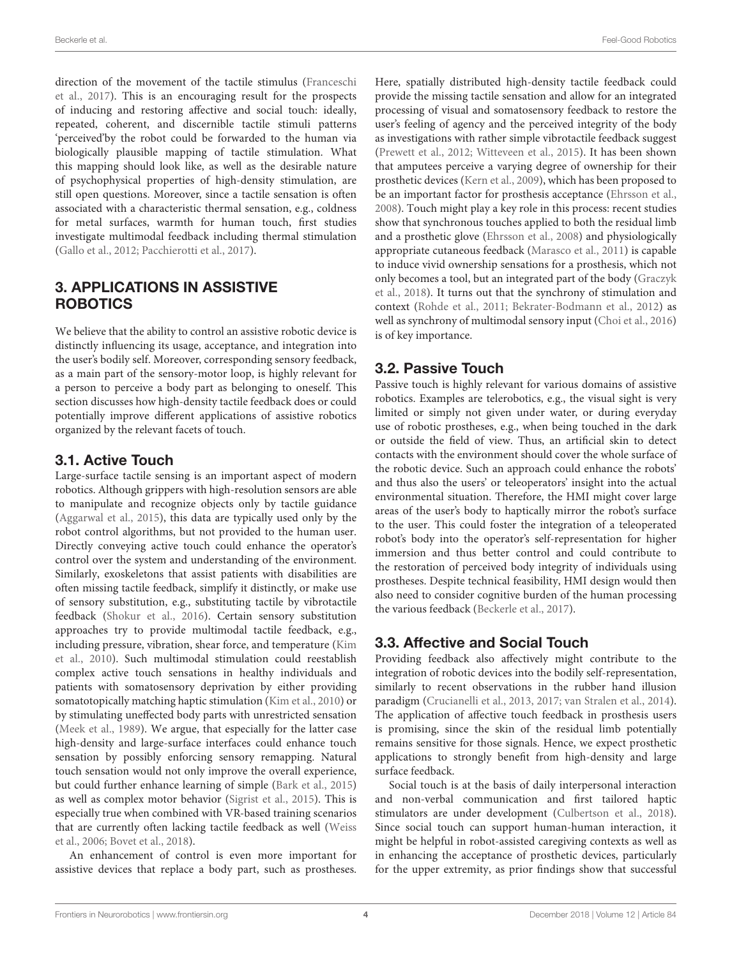direction of the movement of the tactile stimulus (Franceschi et al., [2017\)](#page-5-24). This is an encouraging result for the prospects of inducing and restoring affective and social touch: ideally, repeated, coherent, and discernible tactile stimuli patterns 'perceived'by the robot could be forwarded to the human via biologically plausible mapping of tactile stimulation. What this mapping should look like, as well as the desirable nature of psychophysical properties of high-density stimulation, are still open questions. Moreover, since a tactile sensation is often associated with a characteristic thermal sensation, e.g., coldness for metal surfaces, warmth for human touch, first studies investigate multimodal feedback including thermal stimulation [\(Gallo et al., 2012;](#page-5-16) [Pacchierotti et al., 2017\)](#page-6-21).

#### 3. APPLICATIONS IN ASSISTIVE ROBOTICS

We believe that the ability to control an assistive robotic device is distinctly influencing its usage, acceptance, and integration into the user's bodily self. Moreover, corresponding sensory feedback, as a main part of the sensory-motor loop, is highly relevant for a person to perceive a body part as belonging to oneself. This section discusses how high-density tactile feedback does or could potentially improve different applications of assistive robotics organized by the relevant facets of touch.

#### 3.1. Active Touch

Large-surface tactile sensing is an important aspect of modern robotics. Although grippers with high-resolution sensors are able to manipulate and recognize objects only by tactile guidance [\(Aggarwal et al., 2015\)](#page-4-8), this data are typically used only by the robot control algorithms, but not provided to the human user. Directly conveying active touch could enhance the operator's control over the system and understanding of the environment. Similarly, exoskeletons that assist patients with disabilities are often missing tactile feedback, simplify it distinctly, or make use of sensory substitution, e.g., substituting tactile by vibrotactile feedback [\(Shokur et al., 2016\)](#page-6-11). Certain sensory substitution approaches try to provide multimodal tactile feedback, e.g., including pressure, vibration, shear force, and temperature (Kim et al., [2010\)](#page-5-30). Such multimodal stimulation could reestablish complex active touch sensations in healthy individuals and patients with somatosensory deprivation by either providing somatotopically matching haptic stimulation [\(Kim et al., 2010\)](#page-5-30) or by stimulating uneffected body parts with unrestricted sensation [\(Meek et al., 1989\)](#page-5-31). We argue, that especially for the latter case high-density and large-surface interfaces could enhance touch sensation by possibly enforcing sensory remapping. Natural touch sensation would not only improve the overall experience, but could further enhance learning of simple [\(Bark et al., 2015\)](#page-4-9) as well as complex motor behavior [\(Sigrist et al., 2015\)](#page-6-22). This is especially true when combined with VR-based training scenarios that are currently often lacking tactile feedback as well (Weiss et al., [2006;](#page-6-23) [Bovet et al., 2018\)](#page-4-10).

An enhancement of control is even more important for assistive devices that replace a body part, such as prostheses.

Here, spatially distributed high-density tactile feedback could provide the missing tactile sensation and allow for an integrated processing of visual and somatosensory feedback to restore the user's feeling of agency and the perceived integrity of the body as investigations with rather simple vibrotactile feedback suggest [\(Prewett et al., 2012;](#page-6-24) [Witteveen et al., 2015\)](#page-6-25). It has been shown that amputees perceive a varying degree of ownership for their prosthetic devices [\(Kern et al., 2009\)](#page-5-32), which has been proposed to be an important factor for prosthesis acceptance [\(Ehrsson et al.,](#page-5-33) [2008\)](#page-5-33). Touch might play a key role in this process: recent studies show that synchronous touches applied to both the residual limb and a prosthetic glove [\(Ehrsson et al., 2008\)](#page-5-33) and physiologically appropriate cutaneous feedback [\(Marasco et al., 2011\)](#page-5-12) is capable to induce vivid ownership sensations for a prosthesis, which not only becomes a tool, but an integrated part of the body (Graczyk et al., [2018\)](#page-5-34). It turns out that the synchrony of stimulation and context [\(Rohde et al., 2011;](#page-6-26) [Bekrater-Bodmann et al., 2012\)](#page-4-11) as well as synchrony of multimodal sensory input [\(Choi et al., 2016\)](#page-5-35) is of key importance.

### 3.2. Passive Touch

Passive touch is highly relevant for various domains of assistive robotics. Examples are telerobotics, e.g., the visual sight is very limited or simply not given under water, or during everyday use of robotic prostheses, e.g., when being touched in the dark or outside the field of view. Thus, an artificial skin to detect contacts with the environment should cover the whole surface of the robotic device. Such an approach could enhance the robots' and thus also the users' or teleoperators' insight into the actual environmental situation. Therefore, the HMI might cover large areas of the user's body to haptically mirror the robot's surface to the user. This could foster the integration of a teleoperated robot's body into the operator's self-representation for higher immersion and thus better control and could contribute to the restoration of perceived body integrity of individuals using prostheses. Despite technical feasibility, HMI design would then also need to consider cognitive burden of the human processing the various feedback [\(Beckerle et al., 2017\)](#page-4-0).

# 3.3. Affective and Social Touch

Providing feedback also affectively might contribute to the integration of robotic devices into the bodily self-representation, similarly to recent observations in the rubber hand illusion paradigm [\(Crucianelli et al., 2013,](#page-5-6) [2017;](#page-5-7) [van Stralen et al., 2014\)](#page-6-5). The application of affective touch feedback in prosthesis users is promising, since the skin of the residual limb potentially remains sensitive for those signals. Hence, we expect prosthetic applications to strongly benefit from high-density and large surface feedback.

Social touch is at the basis of daily interpersonal interaction and non-verbal communication and first tailored haptic stimulators are under development [\(Culbertson et al., 2018\)](#page-5-36). Since social touch can support human-human interaction, it might be helpful in robot-assisted caregiving contexts as well as in enhancing the acceptance of prosthetic devices, particularly for the upper extremity, as prior findings show that successful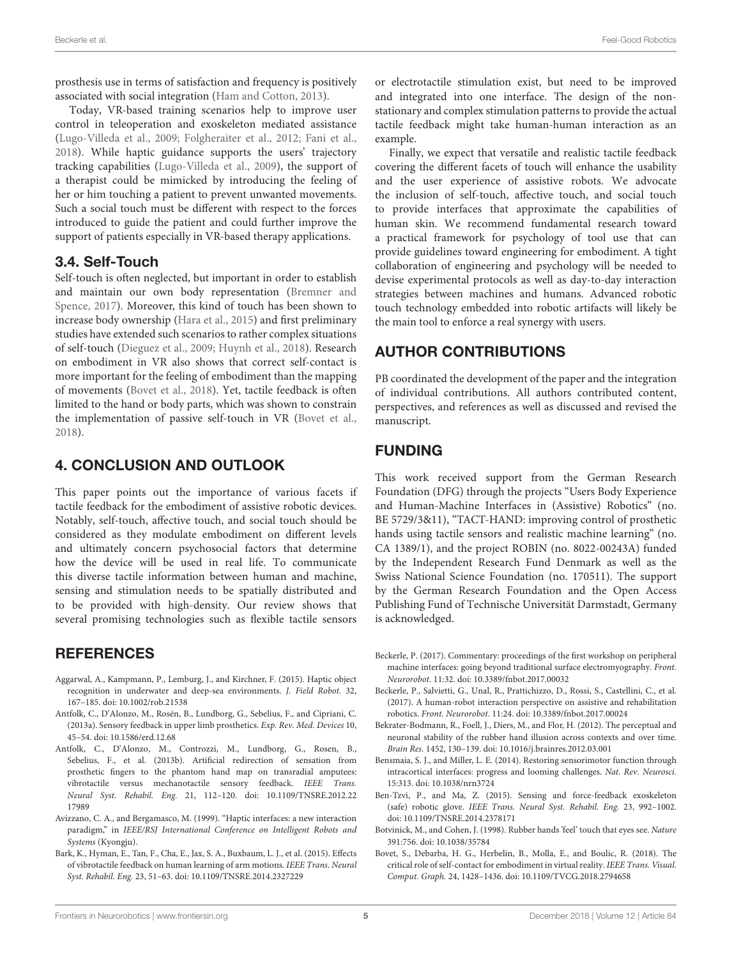prosthesis use in terms of satisfaction and frequency is positively associated with social integration [\(Ham and Cotton, 2013\)](#page-5-37).

Today, VR-based training scenarios help to improve user control in teleoperation and exoskeleton mediated assistance [\(Lugo-Villeda et al., 2009;](#page-5-38) [Folgheraiter et al., 2012;](#page-5-39) [Fani et al.,](#page-5-1) [2018\)](#page-5-1). While haptic guidance supports the users' trajectory tracking capabilities [\(Lugo-Villeda et al., 2009\)](#page-5-38), the support of a therapist could be mimicked by introducing the feeling of her or him touching a patient to prevent unwanted movements. Such a social touch must be different with respect to the forces introduced to guide the patient and could further improve the support of patients especially in VR-based therapy applications.

#### 3.4. Self-Touch

Self-touch is often neglected, but important in order to establish and maintain our own body representation (Bremner and Spence, [2017\)](#page-5-3). Moreover, this kind of touch has been shown to increase body ownership [\(Hara et al., 2015\)](#page-5-4) and first preliminary studies have extended such scenarios to rather complex situations of self-touch [\(Dieguez et al., 2009;](#page-5-40) [Huynh et al., 2018\)](#page-5-41). Research on embodiment in VR also shows that correct self-contact is more important for the feeling of embodiment than the mapping of movements [\(Bovet et al., 2018\)](#page-4-10). Yet, tactile feedback is often limited to the hand or body parts, which was shown to constrain the implementation of passive self-touch in VR [\(Bovet et al.,](#page-4-10) [2018\)](#page-4-10).

#### 4. CONCLUSION AND OUTLOOK

This paper points out the importance of various facets if tactile feedback for the embodiment of assistive robotic devices. Notably, self-touch, affective touch, and social touch should be considered as they modulate embodiment on different levels and ultimately concern psychosocial factors that determine how the device will be used in real life. To communicate this diverse tactile information between human and machine, sensing and stimulation needs to be spatially distributed and to be provided with high-density. Our review shows that several promising technologies such as flexible tactile sensors

#### REFERENCES

- <span id="page-4-8"></span>Aggarwal, A., Kampmann, P., Lemburg, J., and Kirchner, F. (2015). Haptic object recognition in underwater and deep-sea environments. J. Field Robot. 32, 167–185. doi: [10.1002/rob.21538](https://doi.org/10.1002/rob.21538)
- <span id="page-4-7"></span>Antfolk, C., D'Alonzo, M., Rosén, B., Lundborg, G., Sebelius, F., and Cipriani, C. (2013a). Sensory feedback in upper limb prosthetics. Exp. Rev. Med. Devices 10, 45–54. doi: [10.1586/erd.12.68](https://doi.org/10.1586/erd.12.68)
- <span id="page-4-2"></span>Antfolk, C., D'Alonzo, M., Controzzi, M., Lundborg, G., Rosen, B., Sebelius, F., et al. (2013b). Artificial redirection of sensation from prosthetic fingers to the phantom hand map on transradial amputees: vibrotactile versus mechanotactile sensory feedback. IEEE Trans. Neural Syst. Rehabil. Eng. [21, 112–120. doi: 10.1109/TNSRE.2012.22](https://doi.org/10.1109/TNSRE.2012.2217989) 17989
- <span id="page-4-4"></span>Avizzano, C. A., and Bergamasco, M. (1999). "Haptic interfaces: a new interaction paradigm," in IEEE/RSJ International Conference on Intelligent Robots and Systems (Kyongju).
- <span id="page-4-9"></span>Bark, K., Hyman, E., Tan, F., Cha, E., Jax, S. A., Buxbaum, L. J., et al. (2015). Effects of vibrotactile feedback on human learning of arm motions. IEEE Trans. Neural Syst. Rehabil. Eng. 23, 51–63. doi: [10.1109/TNSRE.2014.2327229](https://doi.org/10.1109/TNSRE.2014.2327229)

or electrotactile stimulation exist, but need to be improved and integrated into one interface. The design of the nonstationary and complex stimulation patterns to provide the actual tactile feedback might take human-human interaction as an example.

Finally, we expect that versatile and realistic tactile feedback covering the different facets of touch will enhance the usability and the user experience of assistive robots. We advocate the inclusion of self-touch, affective touch, and social touch to provide interfaces that approximate the capabilities of human skin. We recommend fundamental research toward a practical framework for psychology of tool use that can provide guidelines toward engineering for embodiment. A tight collaboration of engineering and psychology will be needed to devise experimental protocols as well as day-to-day interaction strategies between machines and humans. Advanced robotic touch technology embedded into robotic artifacts will likely be the main tool to enforce a real synergy with users.

### AUTHOR CONTRIBUTIONS

PB coordinated the development of the paper and the integration of individual contributions. All authors contributed content, perspectives, and references as well as discussed and revised the manuscript.

#### FUNDING

This work received support from the German Research Foundation (DFG) through the projects "Users Body Experience and Human-Machine Interfaces in (Assistive) Robotics" (no. BE 5729/3&11), "TACT-HAND: improving control of prosthetic hands using tactile sensors and realistic machine learning" (no. CA 1389/1), and the project ROBIN (no. 8022-00243A) funded by the Independent Research Fund Denmark as well as the Swiss National Science Foundation (no. 170511). The support by the German Research Foundation and the Open Access Publishing Fund of Technische Universität Darmstadt, Germany is acknowledged.

- <span id="page-4-6"></span>Beckerle, P. (2017). Commentary: proceedings of the first workshop on peripheral machine interfaces: going beyond traditional surface electromyography. Front. Neurorobot. 11:32. doi: [10.3389/fnbot.2017.00032](https://doi.org/10.3389/fnbot.2017.00032)
- <span id="page-4-0"></span>Beckerle, P., Salvietti, G., Unal, R., Prattichizzo, D., Rossi, S., Castellini, C., et al. (2017). A human-robot interaction perspective on assistive and rehabilitation robotics. Front. Neurorobot. 11:24. doi: [10.3389/fnbot.2017.00024](https://doi.org/10.3389/fnbot.2017.00024)
- <span id="page-4-11"></span>Bekrater-Bodmann, R., Foell, J., Diers, M., and Flor, H. (2012). The perceptual and neuronal stability of the rubber hand illusion across contexts and over time. Brain Res. 1452, 130–139. doi: [10.1016/j.brainres.2012.03.001](https://doi.org/10.1016/j.brainres.2012.03.001)
- <span id="page-4-3"></span>Bensmaia, S. J., and Miller, L. E. (2014). Restoring sensorimotor function through intracortical interfaces: progress and looming challenges. Nat. Rev. Neurosci. 15:313. doi: [10.1038/nrn3724](https://doi.org/10.1038/nrn3724)
- <span id="page-4-5"></span>Ben-Tzvi, P., and Ma, Z. (2015). Sensing and force-feedback exoskeleton (safe) robotic glove. IEEE Trans. Neural Syst. Rehabil. Eng. 23, 992–1002. doi: [10.1109/TNSRE.2014.2378171](https://doi.org/10.1109/TNSRE.2014.2378171)
- <span id="page-4-1"></span>Botvinick, M., and Cohen, J. (1998). Rubber hands 'feel' touch that eyes see. Nature 391:756. doi: [10.1038/35784](https://doi.org/10.1038/35784)
- <span id="page-4-10"></span>Bovet, S., Debarba, H. G., Herbelin, B., Molla, E., and Boulic, R. (2018). The critical role of self-contact for embodiment in virtual reality. IEEE Trans. Visual. Comput. Graph. 24, 1428–1436. doi: [10.1109/TVCG.2018.2794658](https://doi.org/10.1109/TVCG.2018.2794658)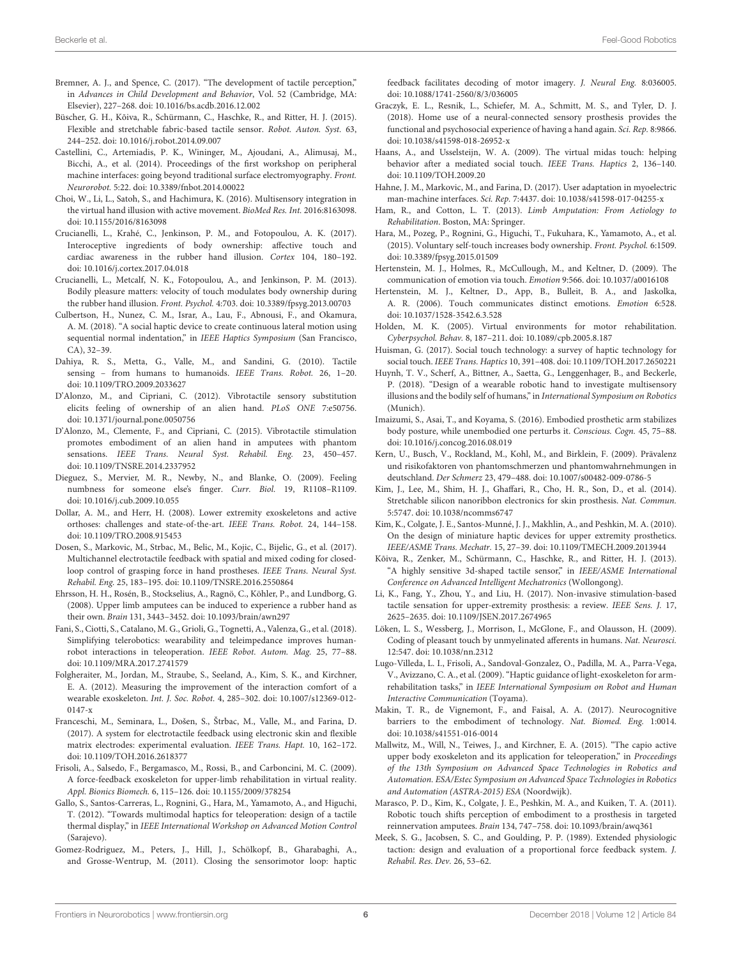- <span id="page-5-3"></span>Bremner, A. J., and Spence, C. (2017). "The development of tactile perception," in Advances in Child Development and Behavior, Vol. 52 (Cambridge, MA: Elsevier), 227–268. doi: [10.1016/bs.acdb.2016.12.002](https://doi.org/10.1016/bs.acdb.2016.12.002)
- <span id="page-5-28"></span>Büscher, G. H., Kõiva, R., Schürmann, C., Haschke, R., and Ritter, H. J. (2015). Flexible and stretchable fabric-based tactile sensor. Robot. Auton. Syst. 63, 244–252. doi: [10.1016/j.robot.2014.09.007](https://doi.org/10.1016/j.robot.2014.09.007)
- <span id="page-5-21"></span>Castellini, C., Artemiadis, P. K., Wininger, M., Ajoudani, A., Alimusaj, M., Bicchi, A., et al. (2014). Proceedings of the first workshop on peripheral machine interfaces: going beyond traditional surface electromyography. Front. Neurorobot. 5:22. doi: [10.3389/fnbot.2014.00022](https://doi.org/10.3389/fnbot.2014.00022)
- <span id="page-5-35"></span>Choi, W., Li, L., Satoh, S., and Hachimura, K. (2016). Multisensory integration in the virtual hand illusion with active movement. BioMed Res. Int. 2016:8163098. doi: [10.1155/2016/8163098](https://doi.org/10.1155/2016/8163098)
- <span id="page-5-7"></span>Crucianelli, L., Krahé, C., Jenkinson, P. M., and Fotopoulou, A. K. (2017). Interoceptive ingredients of body ownership: affective touch and cardiac awareness in the rubber hand illusion. Cortex 104, 180–192. doi: [10.1016/j.cortex.2017.04.018](https://doi.org/10.1016/j.cortex.2017.04.018)
- <span id="page-5-6"></span>Crucianelli, L., Metcalf, N. K., Fotopoulou, A., and Jenkinson, P. M. (2013). Bodily pleasure matters: velocity of touch modulates body ownership during the rubber hand illusion. Front. Psychol. 4:703. doi: [10.3389/fpsyg.2013.00703](https://doi.org/10.3389/fpsyg.2013.00703)
- <span id="page-5-36"></span>Culbertson, H., Nunez, C. M., Israr, A., Lau, F., Abnousi, F., and Okamura, A. M. (2018). "A social haptic device to create continuous lateral motion using sequential normal indentation," in IEEE Haptics Symposium (San Francisco, CA), 32–39.
- <span id="page-5-23"></span>Dahiya, R. S., Metta, G., Valle, M., and Sandini, G. (2010). Tactile sensing – from humans to humanoids. IEEE Trans. Robot. 26, 1–20. doi: [10.1109/TRO.2009.2033627](https://doi.org/10.1109/TRO.2009.2033627)
- <span id="page-5-17"></span>D'Alonzo, M., and Cipriani, C. (2012). Vibrotactile sensory substitution elicits feeling of ownership of an alien hand. PLoS ONE 7:e50756. doi: [10.1371/journal.pone.0050756](https://doi.org/10.1371/journal.pone.0050756)
- <span id="page-5-18"></span>D'Alonzo, M., Clemente, F., and Cipriani, C. (2015). Vibrotactile stimulation promotes embodiment of an alien hand in amputees with phantom sensations. IEEE Trans. Neural Syst. Rehabil. Eng. 23, 450–457. doi: [10.1109/TNSRE.2014.2337952](https://doi.org/10.1109/TNSRE.2014.2337952)
- <span id="page-5-40"></span>Dieguez, S., Mervier, M. R., Newby, N., and Blanke, O. (2009). Feeling numbness for someone else's finger. Curr. Biol. 19, R1108–R1109. doi: [10.1016/j.cub.2009.10.055](https://doi.org/10.1016/j.cub.2009.10.055)
- <span id="page-5-0"></span>Dollar, A. M., and Herr, H. (2008). Lower extremity exoskeletons and active orthoses: challenges and state-of-the-art. IEEE Trans. Robot. 24, 144–158. doi: [10.1109/TRO.2008.915453](https://doi.org/10.1109/TRO.2008.915453)
- <span id="page-5-27"></span>Dosen, S., Markovic, M., Strbac, M., Belic, M., Kojic, C., Bijelic, G., et al. (2017). Multichannel electrotactile feedback with spatial and mixed coding for closedloop control of grasping force in hand prostheses. IEEE Trans. Neural Syst. Rehabil. Eng. 25, 183–195. doi: [10.1109/TNSRE.2016.2550864](https://doi.org/10.1109/TNSRE.2016.2550864)
- <span id="page-5-33"></span>Ehrsson, H. H., Rosén, B., Stockselius, A., Ragnö, C., Köhler, P., and Lundborg, G. (2008). Upper limb amputees can be induced to experience a rubber hand as their own. Brain 131, 3443–3452. doi: [10.1093/brain/awn297](https://doi.org/10.1093/brain/awn297)
- <span id="page-5-1"></span>Fani, S., Ciotti, S., Catalano, M. G., Grioli, G., Tognetti, A., Valenza, G., et al. (2018). Simplifying telerobotics: wearability and teleimpedance improves humanrobot interactions in teleoperation. IEEE Robot. Autom. Mag. 25, 77–88. doi: [10.1109/MRA.2017.2741579](https://doi.org/10.1109/MRA.2017.2741579)
- <span id="page-5-39"></span>Folgheraiter, M., Jordan, M., Straube, S., Seeland, A., Kim, S. K., and Kirchner, E. A. (2012). Measuring the improvement of the interaction comfort of a wearable exoskeleton. Int. J. Soc. Robot. [4, 285–302. doi: 10.1007/s12369-012-](https://doi.org/10.1007/s12369-012-0147-x) 0147-x
- <span id="page-5-24"></span>Franceschi, M., Seminara, L., Došen, S., Štrbac, M., Valle, M., and Farina, D. (2017). A system for electrotactile feedback using electronic skin and flexible matrix electrodes: experimental evaluation. IEEE Trans. Hapt. 10, 162–172. doi: [10.1109/TOH.2016.2618377](https://doi.org/10.1109/TOH.2016.2618377)
- <span id="page-5-13"></span>Frisoli, A., Salsedo, F., Bergamasco, M., Rossi, B., and Carboncini, M. C. (2009). A force-feedback exoskeleton for upper-limb rehabilitation in virtual reality. Appl. Bionics Biomech. 6, 115–126. doi: [10.1155/2009/378254](https://doi.org/10.1155/2009/378254)
- <span id="page-5-16"></span>Gallo, S., Santos-Carreras, L., Rognini, G., Hara, M., Yamamoto, A., and Higuchi, T. (2012). "Towards multimodal haptics for teleoperation: design of a tactile thermal display," in IEEE International Workshop on Advanced Motion Control (Sarajevo).
- <span id="page-5-15"></span>Gomez-Rodriguez, M., Peters, J., Hill, J., Schölkopf, B., Gharabaghi, A., and Grosse-Wentrup, M. (2011). Closing the sensorimotor loop: haptic

feedback facilitates decoding of motor imagery. J. Neural Eng. 8:036005. doi: [10.1088/1741-2560/8/3/036005](https://doi.org/10.1088/1741-2560/8/3/036005)

- <span id="page-5-34"></span>Graczyk, E. L., Resnik, L., Schiefer, M. A., Schmitt, M. S., and Tyler, D. J. (2018). Home use of a neural-connected sensory prosthesis provides the functional and psychosocial experience of having a hand again. Sci. Rep. 8:9866. doi: [10.1038/s41598-018-26952-x](https://doi.org/10.1038/s41598-018-26952-x)
- <span id="page-5-10"></span>Haans, A., and Usselsteijn, W. A. (2009). The virtual midas touch: helping behavior after a mediated social touch. IEEE Trans. Haptics 2, 136–140. doi: [10.1109/TOH.2009.20](https://doi.org/10.1109/TOH.2009.20)
- <span id="page-5-22"></span>Hahne, J. M., Markovic, M., and Farina, D. (2017). User adaptation in myoelectric man-machine interfaces. Sci. Rep. 7:4437. doi: [10.1038/s41598-017-04255-x](https://doi.org/10.1038/s41598-017-04255-x)
- <span id="page-5-37"></span>Ham, R., and Cotton, L. T. (2013). Limb Amputation: From Aetiology to Rehabilitation. Boston, MA: Springer.
- <span id="page-5-4"></span>Hara, M., Pozeg, P., Rognini, G., Higuchi, T., Fukuhara, K., Yamamoto, A., et al. (2015). Voluntary self-touch increases body ownership. Front. Psychol. 6:1509. doi: [10.3389/fpsyg.2015.01509](https://doi.org/10.3389/fpsyg.2015.01509)
- <span id="page-5-9"></span>Hertenstein, M. J., Holmes, R., McCullough, M., and Keltner, D. (2009). The communication of emotion via touch. Emotion 9:566. doi: [10.1037/a0016108](https://doi.org/10.1037/a0016108)
- <span id="page-5-8"></span>Hertenstein, M. J., Keltner, D., App, B., Bulleit, B. A., and Jaskolka, A. R. (2006). Touch communicates distinct emotions. Emotion 6:528. doi: [10.1037/1528-3542.6.3.528](https://doi.org/10.1037/1528-3542.6.3.528)
- <span id="page-5-20"></span>Holden, M. K. (2005). Virtual environments for motor rehabilitation. Cyberpsychol. Behav. 8, 187–211. doi: [10.1089/cpb.2005.8.187](https://doi.org/10.1089/cpb.2005.8.187)
- <span id="page-5-11"></span>Huisman, G. (2017). Social touch technology: a survey of haptic technology for social touch. IEEE Trans. Haptics 10, 391–408. doi: [10.1109/TOH.2017.2650221](https://doi.org/10.1109/TOH.2017.2650221)
- <span id="page-5-41"></span>Huynh, T. V., Scherf, A., Bittner, A., Saetta, G., Lenggenhager, B., and Beckerle, P. (2018). "Design of a wearable robotic hand to investigate multisensory illusions and the bodily self of humans," in International Symposium on Robotics (Munich).
- <span id="page-5-19"></span>Imaizumi, S., Asai, T., and Koyama, S. (2016). Embodied prosthetic arm stabilizes body posture, while unembodied one perturbs it. Conscious. Cogn. 45, 75–88. doi: [10.1016/j.concog.2016.08.019](https://doi.org/10.1016/j.concog.2016.08.019)
- <span id="page-5-32"></span>Kern, U., Busch, V., Rockland, M., Kohl, M., and Birklein, F. (2009). Prävalenz und risikofaktoren von phantomschmerzen und phantomwahrnehmungen in deutschland. Der Schmerz 23, 479–488. doi: [10.1007/s00482-009-0786-5](https://doi.org/10.1007/s00482-009-0786-5)
- <span id="page-5-25"></span>Kim, J., Lee, M., Shim, H. J., Ghaffari, R., Cho, H. R., Son, D., et al. (2014). Stretchable silicon nanoribbon electronics for skin prosthesis. Nat. Commun. 5:5747. doi: [10.1038/ncomms6747](https://doi.org/10.1038/ncomms6747)
- <span id="page-5-30"></span>Kim, K., Colgate, J. E., Santos-Munné, J. J., Makhlin, A., and Peshkin, M. A. (2010). On the design of miniature haptic devices for upper extremity prosthetics. IEEE/ASME Trans. Mechatr. 15, 27–39. doi: [10.1109/TMECH.2009.2013944](https://doi.org/10.1109/TMECH.2009.2013944)
- <span id="page-5-29"></span>Kõiva, R., Zenker, M., Schürmann, C., Haschke, R., and Ritter, H. J. (2013). "A highly sensitive 3d-shaped tactile sensor," in IEEE/ASME International Conference on Advanced Intelligent Mechatronics (Wollongong).
- <span id="page-5-26"></span>Li, K., Fang, Y., Zhou, Y., and Liu, H. (2017). Non-invasive stimulation-based tactile sensation for upper-extremity prosthesis: a review. IEEE Sens. J. 17, 2625–2635. doi: [10.1109/JSEN.2017.2674965](https://doi.org/10.1109/JSEN.2017.2674965)
- <span id="page-5-5"></span>Löken, L. S., Wessberg, J., Morrison, I., McGlone, F., and Olausson, H. (2009). Coding of pleasant touch by unmyelinated afferents in humans. Nat. Neurosci. 12:547. doi: [10.1038/nn.2312](https://doi.org/10.1038/nn.2312)
- <span id="page-5-38"></span>Lugo-Villeda, L. I., Frisoli, A., Sandoval-Gonzalez, O., Padilla, M. A., Parra-Vega, V., Avizzano, C. A., et al. (2009). "Haptic guidance of light-exoskeleton for armrehabilitation tasks," in IEEE International Symposium on Robot and Human Interactive Communication (Toyama).
- <span id="page-5-2"></span>Makin, T. R., de Vignemont, F., and Faisal, A. A. (2017). Neurocognitive barriers to the embodiment of technology. Nat. Biomed. Eng. 1:0014. doi: [10.1038/s41551-016-0014](https://doi.org/10.1038/s41551-016-0014)
- <span id="page-5-14"></span>Mallwitz, M., Will, N., Teiwes, J., and Kirchner, E. A. (2015). "The capio active upper body exoskeleton and its application for teleoperation," in Proceedings of the 13th Symposium on Advanced Space Technologies in Robotics and Automation. ESA/Estec Symposium on Advanced Space Technologies in Robotics and Automation (ASTRA-2015) ESA (Noordwijk).
- <span id="page-5-12"></span>Marasco, P. D., Kim, K., Colgate, J. E., Peshkin, M. A., and Kuiken, T. A. (2011). Robotic touch shifts perception of embodiment to a prosthesis in targeted reinnervation amputees. Brain 134, 747–758. doi: [10.1093/brain/awq361](https://doi.org/10.1093/brain/awq361)
- <span id="page-5-31"></span>Meek, S. G., Jacobsen, S. C., and Goulding, P. P. (1989). Extended physiologic taction: design and evaluation of a proportional force feedback system. J. Rehabil. Res. Dev. 26, 53–62.